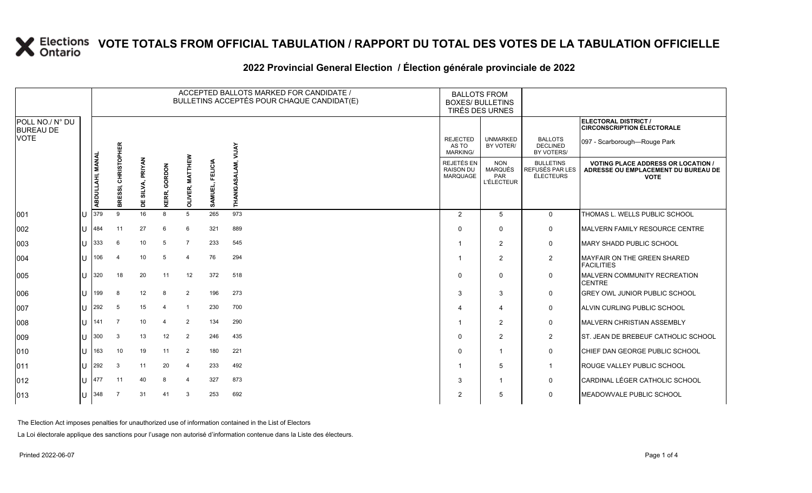#### **2022 Provincial General Election / Élection générale provinciale de 2022**

|                                     |    |                         |                                       |                       |                     |                           | ACCEPTED BALLOTS MARKED FOR CANDIDATE /<br>BULLETINS ACCEPTÉS POUR CHAQUE CANDIDAT(E) | <b>BALLOTS FROM</b><br><b>BOXES/ BULLETINS</b><br>TIRÉS DES URNES |                                             |                                                          |                                                         |                                                                                                 |
|-------------------------------------|----|-------------------------|---------------------------------------|-----------------------|---------------------|---------------------------|---------------------------------------------------------------------------------------|-------------------------------------------------------------------|---------------------------------------------|----------------------------------------------------------|---------------------------------------------------------|-------------------------------------------------------------------------------------------------|
| POLL NO./ N° DU<br><b>BUREAU DE</b> |    |                         |                                       |                       |                     |                           |                                                                                       |                                                                   |                                             |                                                          |                                                         | ELECTORAL DISTRICT /<br><b>CIRCONSCRIPTION ÉLECTORALE</b>                                       |
| <b>VOTE</b>                         |    |                         |                                       |                       |                     |                           |                                                                                       | <b>AYIN</b>                                                       | <b>REJECTED</b><br>AS TO<br><b>MARKING/</b> | <b>UNMARKED</b><br>BY VOTER/                             | <b>BALLOTS</b><br><b>DECLINED</b><br>BY VOTERS/         | 097 - Scarborough-Rouge Park                                                                    |
|                                     |    | <b>ABDULLAHI, MANAL</b> | <b>CHRISTOPHER</b><br><u>ଙ୍ଗ</u><br>홂 | PRIYAN<br>SILVA,<br>Ë | <b>KERR, GORDON</b> | <b>MATTHEW</b><br>OLIVER, | <b>FELICIA</b><br>-î<br>SAMUEL                                                        | 至                                                                 | REJETÉS EN<br><b>RAISON DU</b><br>MARQUAGE  | <b>NON</b><br><b>MARQUÉS</b><br>PAR<br><b>L'ÉLECTEUR</b> | <b>BULLETINS</b><br>REFUSÉS PAR LES<br><b>ÉLECTEURS</b> | <b>VOTING PLACE ADDRESS OR LOCATION /</b><br>ADRESSE OU EMPLACEMENT DU BUREAU DE<br><b>VOTE</b> |
| 1001                                | lU | 379                     | 9                                     | 16                    | 8                   | 5                         | 265                                                                                   | 973                                                               | $\overline{2}$                              | 5                                                        | $\mathbf 0$                                             | THOMAS L. WELLS PUBLIC SCHOOL                                                                   |
| 002                                 | lu | 484                     | 11                                    | 27                    | 6                   | 6                         | 321                                                                                   | 889                                                               | $\Omega$                                    | $\Omega$                                                 | 0                                                       | <b>IMALVERN FAMILY RESOURCE CENTRE</b>                                                          |
| 003                                 | lu | 333                     | 6                                     | 10                    | 5                   | $\overline{7}$            | 233                                                                                   | 545                                                               |                                             | 2                                                        | 0                                                       | <b>IMARY SHADD PUBLIC SCHOOL</b>                                                                |
| 004                                 | lu | 106                     | $\overline{4}$                        | 10                    | 5                   | $\overline{4}$            | 76                                                                                    | 294                                                               |                                             | $\overline{2}$                                           | $\overline{2}$                                          | MAYFAIR ON THE GREEN SHARED<br><b>FACILITIES</b>                                                |
| 005                                 | lu | 320                     | 18                                    | 20                    | 11                  | 12                        | 372                                                                                   | 518                                                               | $\Omega$                                    | $\mathbf 0$                                              | $\mathsf 0$                                             | MALVERN COMMUNITY RECREATION<br><b>CENTRE</b>                                                   |
| 006                                 | Iυ | 199                     | 8                                     | 12                    | 8                   | $\overline{2}$            | 196                                                                                   | 273                                                               | 3                                           | 3                                                        | 0                                                       | <b>GREY OWL JUNIOR PUBLIC SCHOOL</b>                                                            |
| 007                                 | lu | 292                     | 5                                     | 15                    |                     | -1                        | 230                                                                                   | 700                                                               |                                             | $\overline{\mathbf{4}}$                                  | 0                                                       | ALVIN CURLING PUBLIC SCHOOL                                                                     |
| 008                                 | lu | 141                     | $\overline{7}$                        | 10                    | 4                   | $\overline{2}$            | 134                                                                                   | 290                                                               |                                             | $\overline{2}$                                           | $\mathbf 0$                                             | MALVERN CHRISTIAN ASSEMBLY                                                                      |
| 009                                 | lu | 300                     | $\mathbf{3}$                          | 13                    | 12                  | 2                         | 246                                                                                   | 435                                                               | $\Omega$                                    | 2                                                        | $\overline{2}$                                          | <b>IST. JEAN DE BREBEUF CATHOLIC SCHOOL</b>                                                     |
| 010                                 | ΙU | 163                     | 10                                    | 19                    | 11                  | $\overline{2}$            | 180                                                                                   | 221                                                               | $\Omega$                                    | $\mathbf{1}$                                             | 0                                                       | CHIEF DAN GEORGE PUBLIC SCHOOL                                                                  |
| 011                                 | lu | 292                     | 3                                     | 11                    | 20                  | $\overline{4}$            | 233                                                                                   | 492                                                               |                                             | 5                                                        | $\overline{1}$                                          | <b>ROUGE VALLEY PUBLIC SCHOOL</b>                                                               |
| $ 012\rangle$                       | IU | 477                     | 11                                    | 40                    | 8                   | $\boldsymbol{\Lambda}$    | 327                                                                                   | 873                                                               | 3                                           | $\overline{1}$                                           | 0                                                       | CARDINAL LÉGER CATHOLIC SCHOOL                                                                  |
| 013                                 | lu | 348                     | - 7                                   | 31                    | 41                  | 3                         | 253                                                                                   | 692                                                               | $\overline{2}$                              | 5                                                        | $\mathbf 0$                                             | MEADOWVALE PUBLIC SCHOOL                                                                        |

The Election Act imposes penalties for unauthorized use of information contained in the List of Electors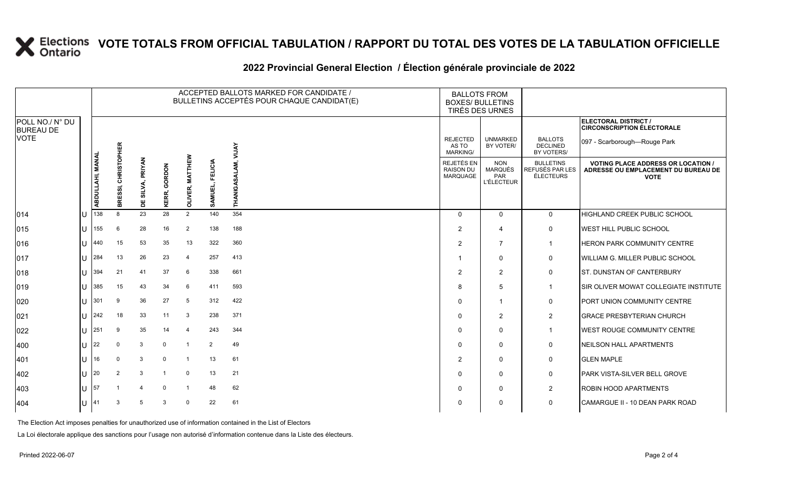#### **2022 Provincial General Election / Élection générale provinciale de 2022**

|                                     |     |                  |                               |                            |                 |                         |                           | ACCEPTED BALLOTS MARKED FOR CANDIDATE /<br>BULLETINS ACCEPTÉS POUR CHAQUE CANDIDAT(E) | <b>BALLOTS FROM</b><br><b>BOXES/ BULLETINS</b><br>TIRÉS DES URNES |                                                          |                                                  |                                                                                               |
|-------------------------------------|-----|------------------|-------------------------------|----------------------------|-----------------|-------------------------|---------------------------|---------------------------------------------------------------------------------------|-------------------------------------------------------------------|----------------------------------------------------------|--------------------------------------------------|-----------------------------------------------------------------------------------------------|
| POLL NO./ N° DU<br><b>BUREAU DE</b> |     |                  |                               |                            |                 |                         |                           |                                                                                       |                                                                   |                                                          |                                                  | <b>ELECTORAL DISTRICT /</b><br><b>CIRCONSCRIPTION ÉLECTORALE</b>                              |
| <b>VOTE</b>                         |     |                  |                               |                            |                 |                         |                           | <b>YALIV</b>                                                                          | <b>REJECTED</b><br>AS TO<br>MARKING/                              | <b>UNMARKED</b><br>BY VOTER/                             | <b>BALLOTS</b><br><b>DECLINED</b><br>BY VOTERS/  | 097 - Scarborough-Rouge Park                                                                  |
|                                     |     | ABDULLAHI, MANAL | <b>CHRISTOPHER</b><br>BRESSI, | <b>PRIYAN</b><br>DE SILVA, | GORDON<br>KERR, | 옶<br>ER, MATTH<br>OLIVI | <b>FELICIA</b><br>SAMUEL, | THANIGAS                                                                              | REJETÉS EN<br><b>RAISON DU</b><br>MARQUAGE                        | <b>NON</b><br><b>MARQUÉS</b><br>PAR<br><b>L'ÉLECTEUR</b> | <b>BULLETINS</b><br>REFUSÉS PAR LES<br>ÉLECTEURS | <b>VOTING PLACE ADDRESS OR LOCATION</b><br>ADRESSE OU EMPLACEMENT DU BUREAU DE<br><b>VOTE</b> |
| $ 014\rangle$                       | U   | 138              | 8                             | 23                         | 28              | 2                       | 140                       | 354                                                                                   | $\Omega$                                                          | $\mathbf{0}$                                             | $\mathbf 0$                                      | HIGHLAND CREEK PUBLIC SCHOOL                                                                  |
| 015                                 | IU  | 155              | 6                             | 28                         | 16              | $\overline{2}$          | 138                       | 188                                                                                   | $\overline{2}$                                                    | 4                                                        | 0                                                | WEST HILL PUBLIC SCHOOL                                                                       |
| 016                                 | U   | 440              | 15                            | 53                         | 35              | 13                      | 322                       | 360                                                                                   | 2                                                                 | $\overline{7}$                                           | $\mathbf{1}$                                     | HERON PARK COMMUNITY CENTRE                                                                   |
| 017                                 | U   | 284              | 13                            | 26                         | 23              | $\overline{a}$          | 257                       | 413                                                                                   |                                                                   | $\Omega$                                                 | 0                                                | WILLIAM G. MILLER PUBLIC SCHOOL                                                               |
| 018                                 | U   | 394              | 21                            | 41                         | 37              | 6                       | 338                       | 661                                                                                   | $\overline{2}$                                                    | $\overline{2}$                                           | 0                                                | ST. DUNSTAN OF CANTERBURY                                                                     |
| 019                                 | lU  | 385              | 15                            | 43                         | 34              | 6                       | 411                       | 593                                                                                   | 8                                                                 | 5                                                        | $\mathbf{1}$                                     | SIR OLIVER MOWAT COLLEGIATE INSTITUTE                                                         |
| 020                                 | ΠT  | 301              | 9                             | 36                         | 27              | 5                       | 312                       | 422                                                                                   | $\Omega$                                                          | -1                                                       | 0                                                | PORT UNION COMMUNITY CENTRE                                                                   |
| 021                                 | U   | 242              | 18                            | 33                         | 11              | 3                       | 238                       | 371                                                                                   | $\Omega$                                                          | $\overline{2}$                                           | $\overline{2}$                                   | <b>GRACE PRESBYTERIAN CHURCH</b>                                                              |
| 022                                 | IП  | 251              | 9                             | 35                         | 14              | 4                       | 243                       | 344                                                                                   | $\Omega$                                                          | $\mathbf{0}$                                             | $\mathbf{1}$                                     | WEST ROUGE COMMUNITY CENTRE                                                                   |
| 400                                 | IП  | 22               | $\Omega$                      | 3                          | $\Omega$        | -1                      | 2                         | 49                                                                                    | $\Omega$                                                          | $\Omega$                                                 | 0                                                | NEILSON HALL APARTMENTS                                                                       |
| 401                                 | U   | 16               | $\Omega$                      | 3                          | $\Omega$        | $\overline{1}$          | 13                        | 61                                                                                    | $\overline{2}$                                                    | $\Omega$                                                 | 0                                                | <b>GLEN MAPLE</b>                                                                             |
| 402                                 | ΠT  | 20               | 2                             | 3                          |                 | 0                       | 13                        | 21                                                                                    | $\Omega$                                                          | $\mathbf{0}$                                             | 0                                                | PARK VISTA-SILVER BELL GROVE                                                                  |
| 403                                 | lU  | 57               |                               |                            | $\Omega$        |                         | 48                        | 62                                                                                    | $\Omega$                                                          | 0                                                        | $\overline{2}$                                   | ROBIN HOOD APARTMENTS                                                                         |
| 404                                 | ıU. | 41               | 3                             | 5                          | 3               | $\Omega$                | 22                        | 61                                                                                    | 0                                                                 | $\Omega$                                                 | $\mathbf 0$                                      | CAMARGUE II - 10 DEAN PARK ROAD                                                               |

The Election Act imposes penalties for unauthorized use of information contained in the List of Electors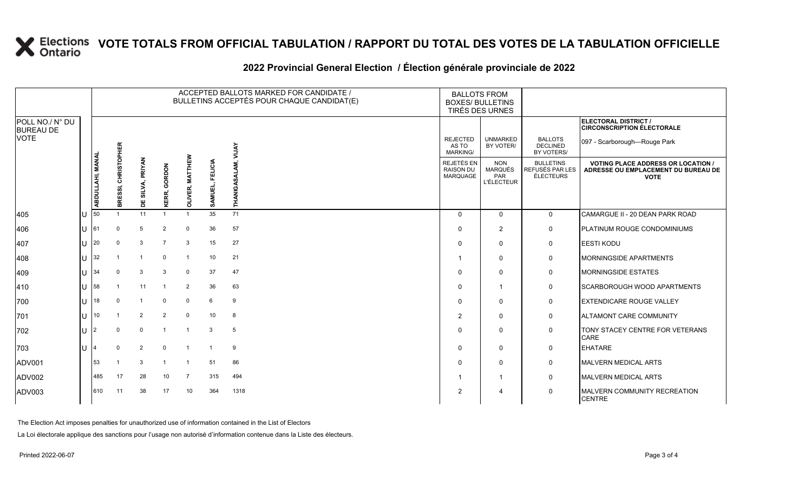### **2022 Provincial General Election / Élection générale provinciale de 2022**

|                                     |     |                  |                               |                              |                         |                                         | ACCEPTED BALLOTS MARKED FOR CANDIDATE /<br>BULLETINS ACCEPTÉS POUR CHAQUE CANDIDAT(E) | <b>BALLOTS FROM</b><br><b>BOXES/ BULLETINS</b><br>TIRÉS DES URNES |                                             |                                                          |                                                         |                                                                                                 |
|-------------------------------------|-----|------------------|-------------------------------|------------------------------|-------------------------|-----------------------------------------|---------------------------------------------------------------------------------------|-------------------------------------------------------------------|---------------------------------------------|----------------------------------------------------------|---------------------------------------------------------|-------------------------------------------------------------------------------------------------|
| POLL NO./ N° DU<br><b>BUREAU DE</b> |     |                  |                               |                              |                         |                                         |                                                                                       |                                                                   |                                             |                                                          |                                                         | ELECTORAL DISTRICT /<br><b>CIRCONSCRIPTION ÉLECTORALE</b>                                       |
| <b>VOTE</b>                         |     |                  |                               |                              |                         |                                         |                                                                                       | <b>AVTIA</b>                                                      | <b>REJECTED</b><br>AS TO<br><b>MARKING/</b> | <b>UNMARKED</b><br>BY VOTER/                             | <b>BALLOTS</b><br><b>DECLINED</b><br>BY VOTERS/         | 097 - Scarborough-Rouge Park                                                                    |
|                                     |     | ABDULLAHI, MANAL | <b>CHRISTOPHER</b><br>BRESSI, | <b>PRIYAN</b><br>SILVA,<br>쁨 | GORDON<br>KERR,         | <b>MATTHEW</b><br>띥.<br>띥<br><b>NTO</b> | FELICIA<br>SAMUEL,                                                                    | THANIGAS                                                          | REJETÉS EN<br>RAISON DU<br>MARQUAGE         | <b>NON</b><br><b>MARQUÉS</b><br>PAR<br><b>L'ÉLECTEUR</b> | <b>BULLETINS</b><br>REFUSÉS PAR LES<br><b>ÉLECTEURS</b> | <b>VOTING PLACE ADDRESS OR LOCATION /</b><br>ADRESSE OU EMPLACEMENT DU BUREAU DE<br><b>VOTE</b> |
| 405                                 | ПJ  | 50               |                               | 11                           |                         |                                         | 35                                                                                    | 71                                                                | $\Omega$                                    | $\Omega$                                                 | $\mathbf{0}$                                            | CAMARGUE II - 20 DEAN PARK ROAD                                                                 |
| 406                                 | lU. | 61               | $\mathbf 0$                   | 5                            | $\overline{2}$          | $\mathbf 0$                             | 36                                                                                    | 57                                                                | $\Omega$                                    | 2                                                        | 0                                                       | <b>PLATINUM ROUGE CONDOMINIUMS</b>                                                              |
| 407                                 | lu  | 20               | $\Omega$                      | 3                            | $\overline{7}$          | -3                                      | 15                                                                                    | 27                                                                | $\Omega$                                    | $\mathbf 0$                                              | 0                                                       | <b>EESTI KODU</b>                                                                               |
| 408                                 | ΙU  | 32               |                               |                              | $\mathbf 0$             |                                         | 10                                                                                    | 21                                                                |                                             | 0                                                        | $\mathbf 0$                                             | <b>IMORNINGSIDE APARTMENTS</b>                                                                  |
| 409                                 | lu  | 34               | $\Omega$                      | 3                            | 3                       | $\overline{0}$                          | 37                                                                                    | 47                                                                | $\Omega$                                    | $\Omega$                                                 | $\mathsf{O}$                                            | MORNINGSIDE ESTATES                                                                             |
| 410                                 | lu- | 58               |                               | 11                           | $\overline{\mathbf{1}}$ | $\overline{2}$                          | 36                                                                                    | 63                                                                | $\Omega$                                    | $\overline{1}$                                           | 0                                                       | <b>SCARBOROUGH WOOD APARTMENTS</b>                                                              |
| 700                                 | U   | 18               | $\Omega$                      |                              | $\mathbf 0$             | 0                                       | 6                                                                                     | 9                                                                 | $\Omega$                                    | $\Omega$                                                 | 0                                                       | <b>EXTENDICARE ROUGE VALLEY</b>                                                                 |
| 701                                 | lθ  | 10 <sup>°</sup>  |                               | $\overline{2}$               | $\overline{2}$          | $\mathbf 0$                             | 10                                                                                    | 8                                                                 | 2                                           | $\mathbf 0$                                              | 0                                                       | ALTAMONT CARE COMMUNITY                                                                         |
| 702                                 | lU  | $\mathfrak{p}$   | $\Omega$                      | $\mathbf 0$                  | - 1                     |                                         | 3                                                                                     | 5                                                                 | $\Omega$                                    | 0                                                        | 0                                                       | <b>TONY STACEY CENTRE FOR VETERANS</b><br>CARE                                                  |
| 703                                 | lu  |                  | $\Omega$                      | $\overline{2}$               | $\Omega$                | $\overline{1}$                          | $\overline{1}$                                                                        | 9                                                                 | $\Omega$                                    | $\Omega$                                                 | 0                                                       | <b>EHATARE</b>                                                                                  |
| ADV001                              |     | 53               |                               | 3                            |                         |                                         | 51                                                                                    | 86                                                                | $\Omega$                                    | $\mathbf 0$                                              | 0                                                       | <b>MALVERN MEDICAL ARTS</b>                                                                     |
| ADV002                              |     | 485              | 17                            | 28                           | 10                      | $\overline{7}$                          | 315                                                                                   | 494                                                               |                                             | $\mathbf{1}$                                             | 0                                                       | <b>MALVERN MEDICAL ARTS</b>                                                                     |
| ADV003                              |     | 610              | 11                            | 38                           | 17                      | 10                                      | 364                                                                                   | 1318                                                              | $\overline{2}$                              | 4                                                        | $\mathbf 0$                                             | MALVERN COMMUNITY RECREATION<br><b>CENTRE</b>                                                   |

The Election Act imposes penalties for unauthorized use of information contained in the List of Electors